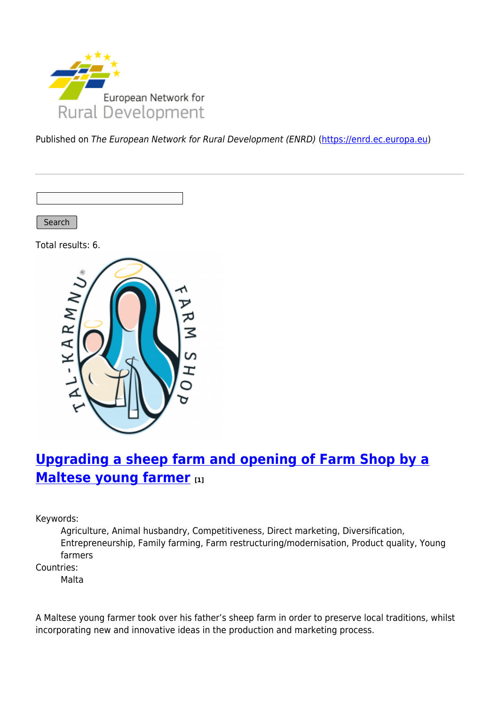

Published on The European Network for Rural Development (ENRD) [\(https://enrd.ec.europa.eu](https://enrd.ec.europa.eu))

Search

Total results: 6.



# **[Upgrading a sheep farm and opening of Farm Shop by a](https://enrd.ec.europa.eu/projects-practice/upgrading-sheep-farm-and-opening-farm-shop-maltese-young-farmer_en) [Maltese young farmer](https://enrd.ec.europa.eu/projects-practice/upgrading-sheep-farm-and-opening-farm-shop-maltese-young-farmer_en) [1]**

Keywords:

Agriculture, Animal husbandry, Competitiveness, Direct marketing, Diversification, Entrepreneurship, Family farming, Farm restructuring/modernisation, Product quality, Young farmers

Countries:

Malta

A Maltese young farmer took over his father's sheep farm in order to preserve local traditions, whilst incorporating new and innovative ideas in the production and marketing process.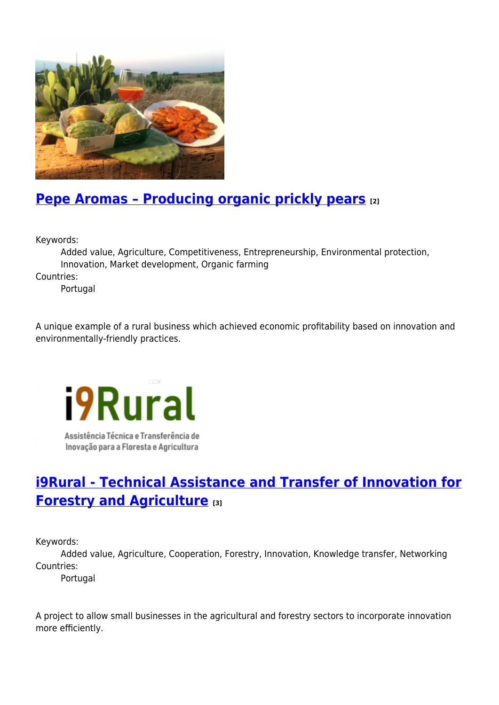

## **[Pepe Aromas – Producing organic prickly pears](https://enrd.ec.europa.eu/projects-practice/pepe-aromas-producing-organic-prickly-pears_en) [2]**

Keywords:

Added value, Agriculture, Competitiveness, Entrepreneurship, Environmental protection, Innovation, Market development, Organic farming

Countries:

Portugal

A unique example of a rural business which achieved economic profitability based on innovation and environmentally-friendly practices.

**i9Rural** Assistência Técnica e Transferência de Inovação para a Floresta e Agricultura

Conne

# **[i9Rural - Technical Assistance and Transfer of Innovation for](https://enrd.ec.europa.eu/projects-practice/i9rural-technical-assistance-and-transfer-innovation-forestry-and-agriculture_en) [Forestry and Agriculture](https://enrd.ec.europa.eu/projects-practice/i9rural-technical-assistance-and-transfer-innovation-forestry-and-agriculture_en) [3]**

Keywords:

Added value, Agriculture, Cooperation, Forestry, Innovation, Knowledge transfer, Networking Countries:

Portugal

A project to allow small businesses in the agricultural and forestry sectors to incorporate innovation more efficiently.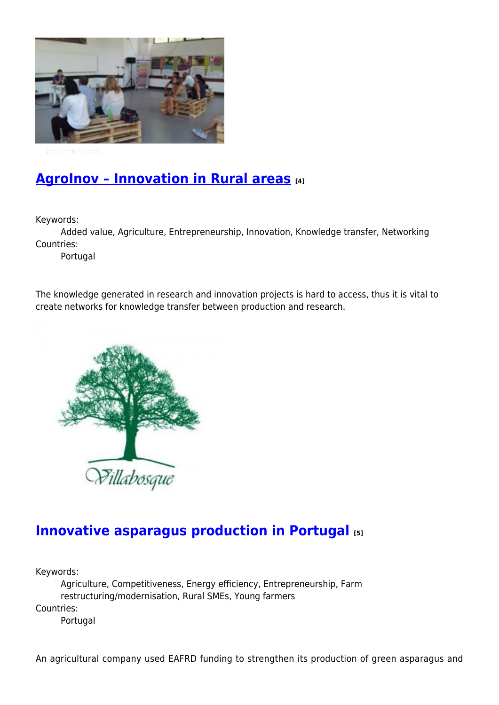

## **[AgroInov – Innovation in Rural areas](https://enrd.ec.europa.eu/projects-practice/agroinov-innovation-rural-areas_en) [4]**

Keywords:

Added value, Agriculture, Entrepreneurship, Innovation, Knowledge transfer, Networking Countries:

Portugal

The knowledge generated in research and innovation projects is hard to access, thus it is vital to create networks for knowledge transfer between production and research.



### **[Innovative asparagus production in Portugal](https://enrd.ec.europa.eu/projects-practice/innovative-asparagus-production-portugal_en) [5]**

Keywords:

Agriculture, Competitiveness, Energy efficiency, Entrepreneurship, Farm restructuring/modernisation, Rural SMEs, Young farmers Countries: Portugal

An agricultural company used EAFRD funding to strengthen its production of green asparagus and